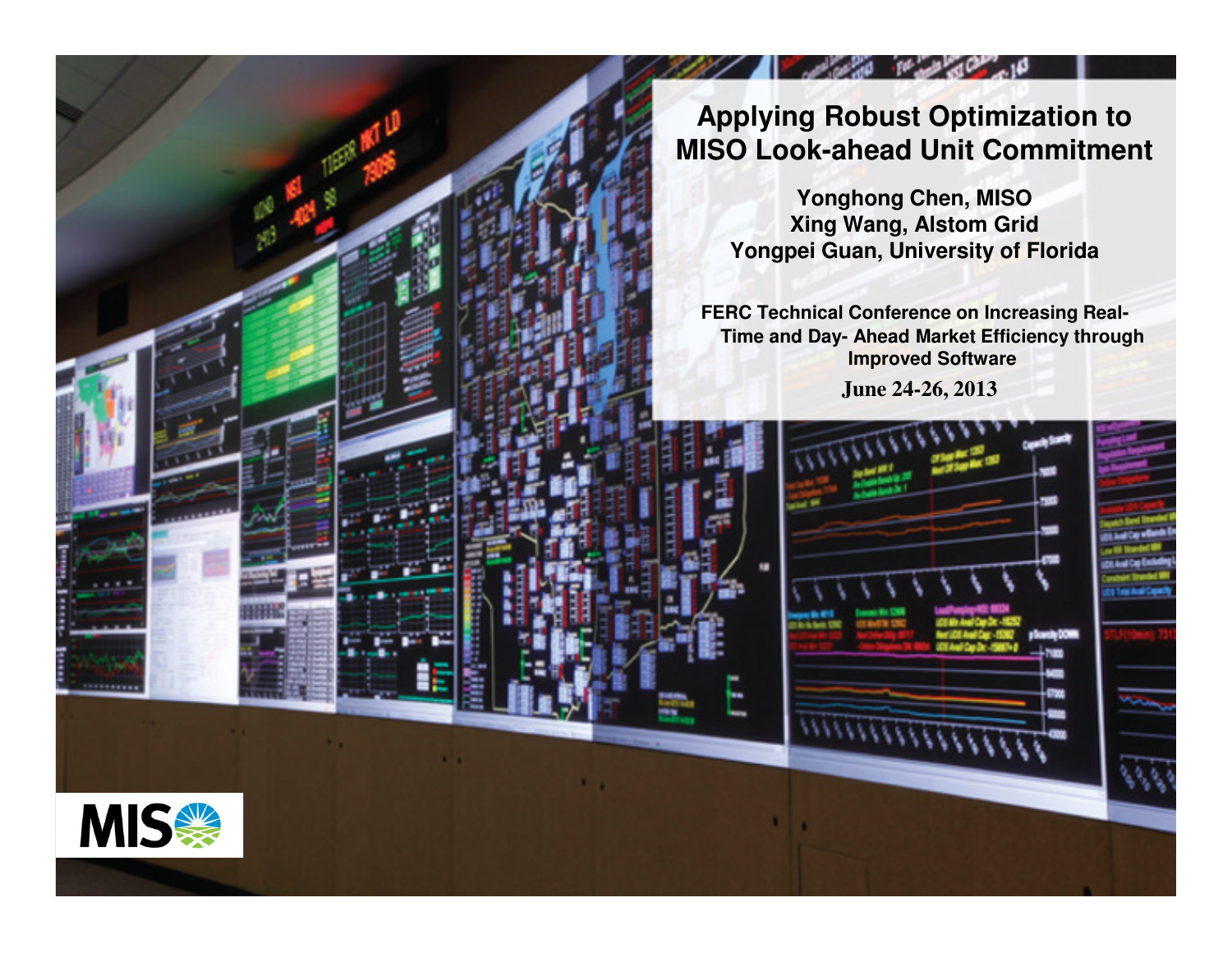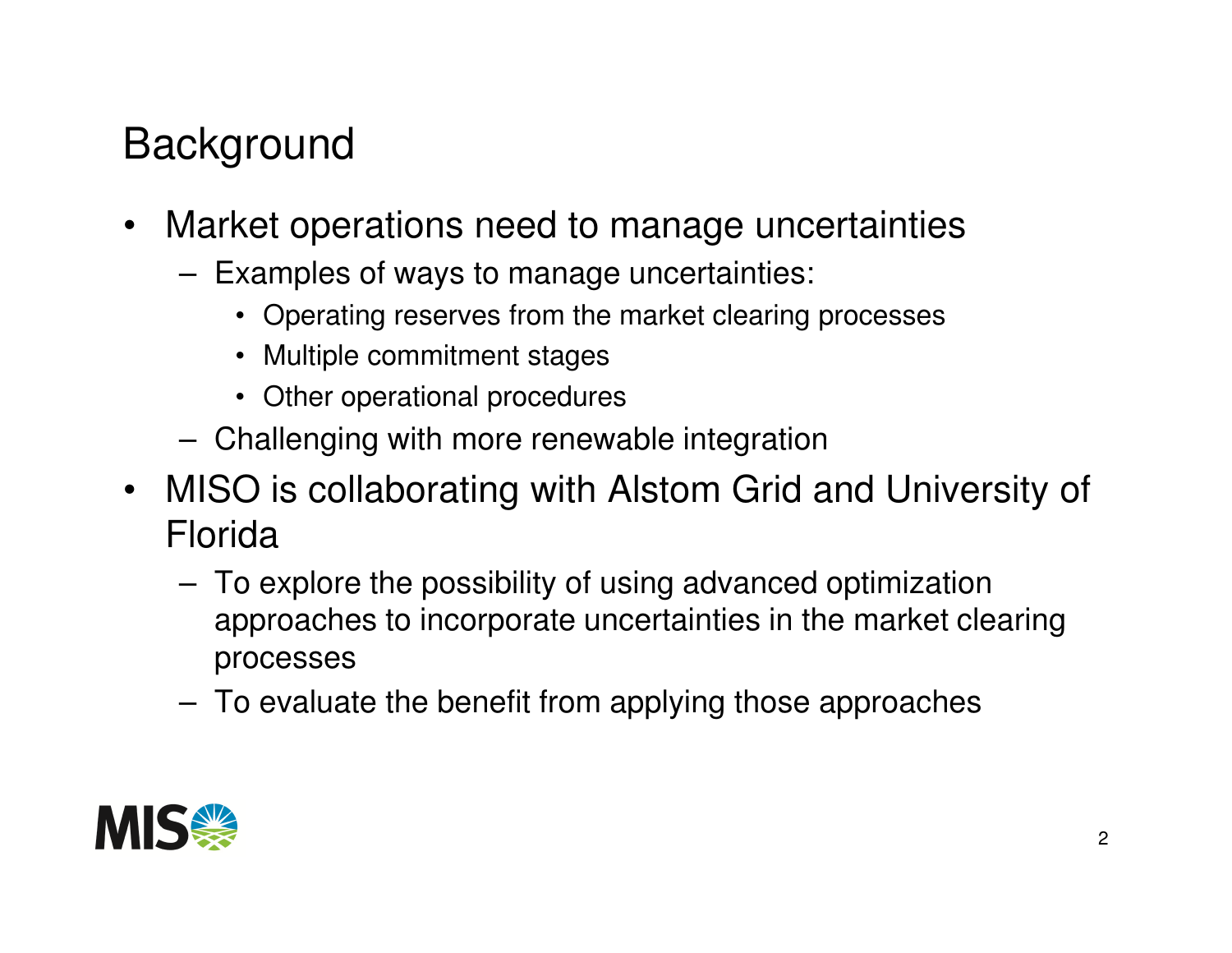## **Background**

- Market operations need to manage uncertainties
	- **Links of the Company**  Examples of ways to manage uncertainties:
		- Operating reserves from the market clearing processes
		- Multiple commitment stages
		- Other operational procedures
	- **Links of the Company** Challenging with more renewable integration
- MISO is collaborating with Alstom Grid and University of Florida
	- **Links of the Company**  To explore the possibility of using advanced optimization approaches to incorporate uncertainties in the market clearing processes
	- –To evaluate the benefit from applying those approaches

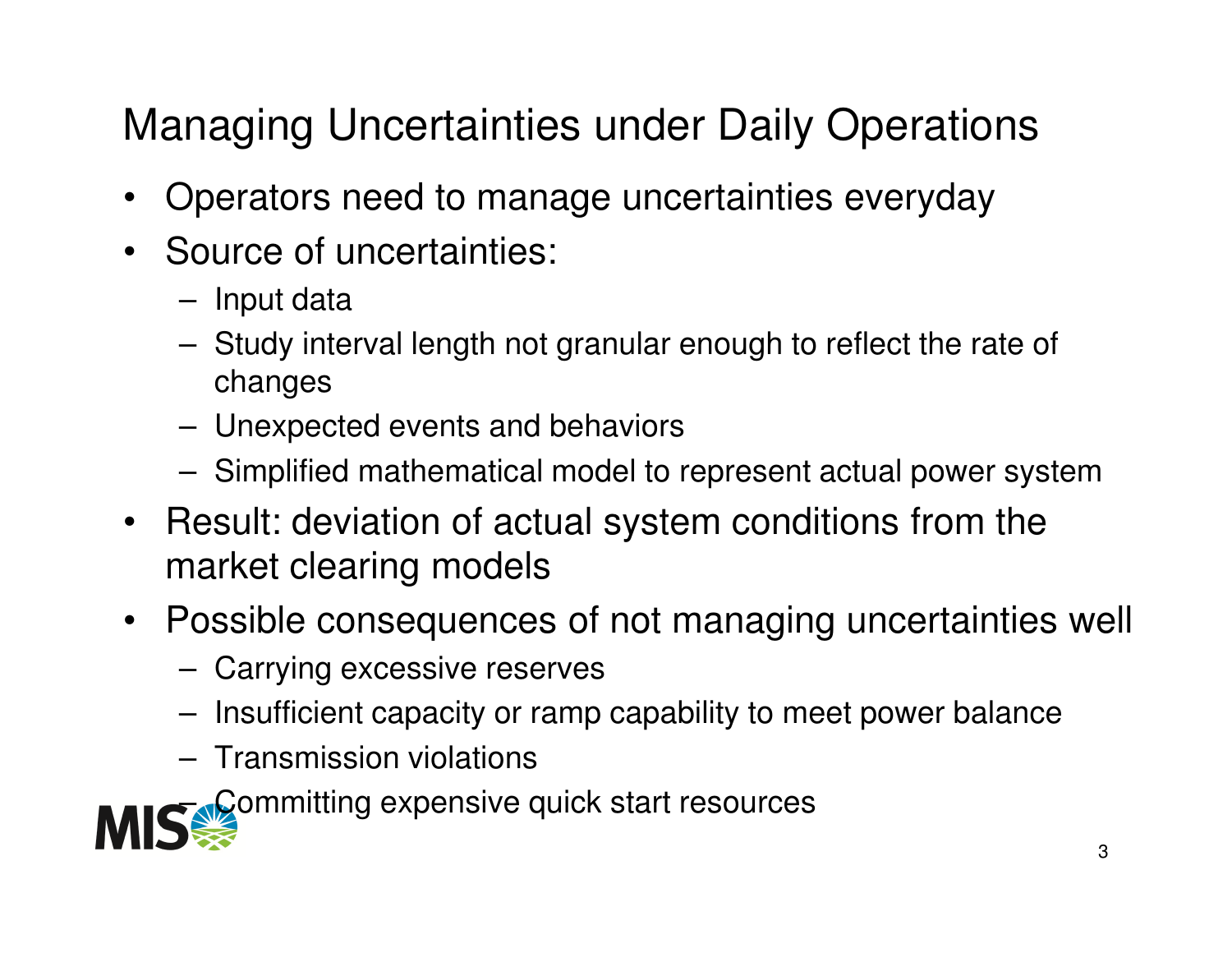# Managing Uncertainties under Daily Operations

- $\bullet$ Operators need to manage uncertainties everyday
- Source of uncertainties:
	- **Links of the Company** Input data
	- **Links of the Company**  Study interval length not granular enough to reflect the rate of changes
	- –Unexpected events and behaviors
	- –Simplified mathematical model to represent actual power system
- Result: deviation of actual system conditions from the market clearing models
- Possible consequences of not managing uncertainties well
	- –Carrying excessive reserves
	- –Insufficient capacity or ramp capability to meet power balance
	- **Links of the Company** Transmission violations

–Committing expensive quick start resources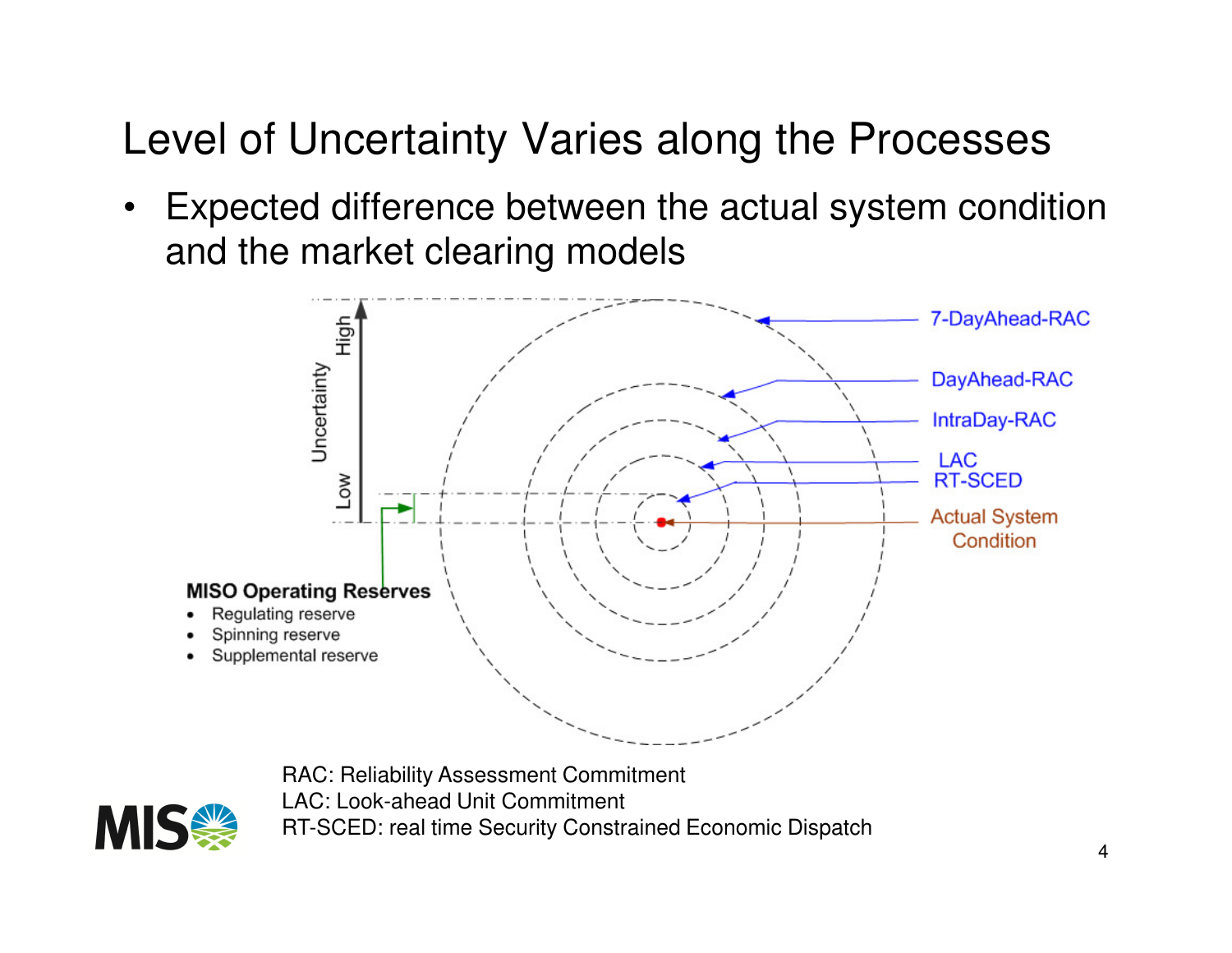#### Level of Uncertainty Varies along the Processes

• Expected difference between the actual system condition and the market clearing models



RAC: Reliability Assessment CommitmentLAC: Look-ahead Unit CommitmentRT-SCED: real time Security Constrained Economic Dispatch

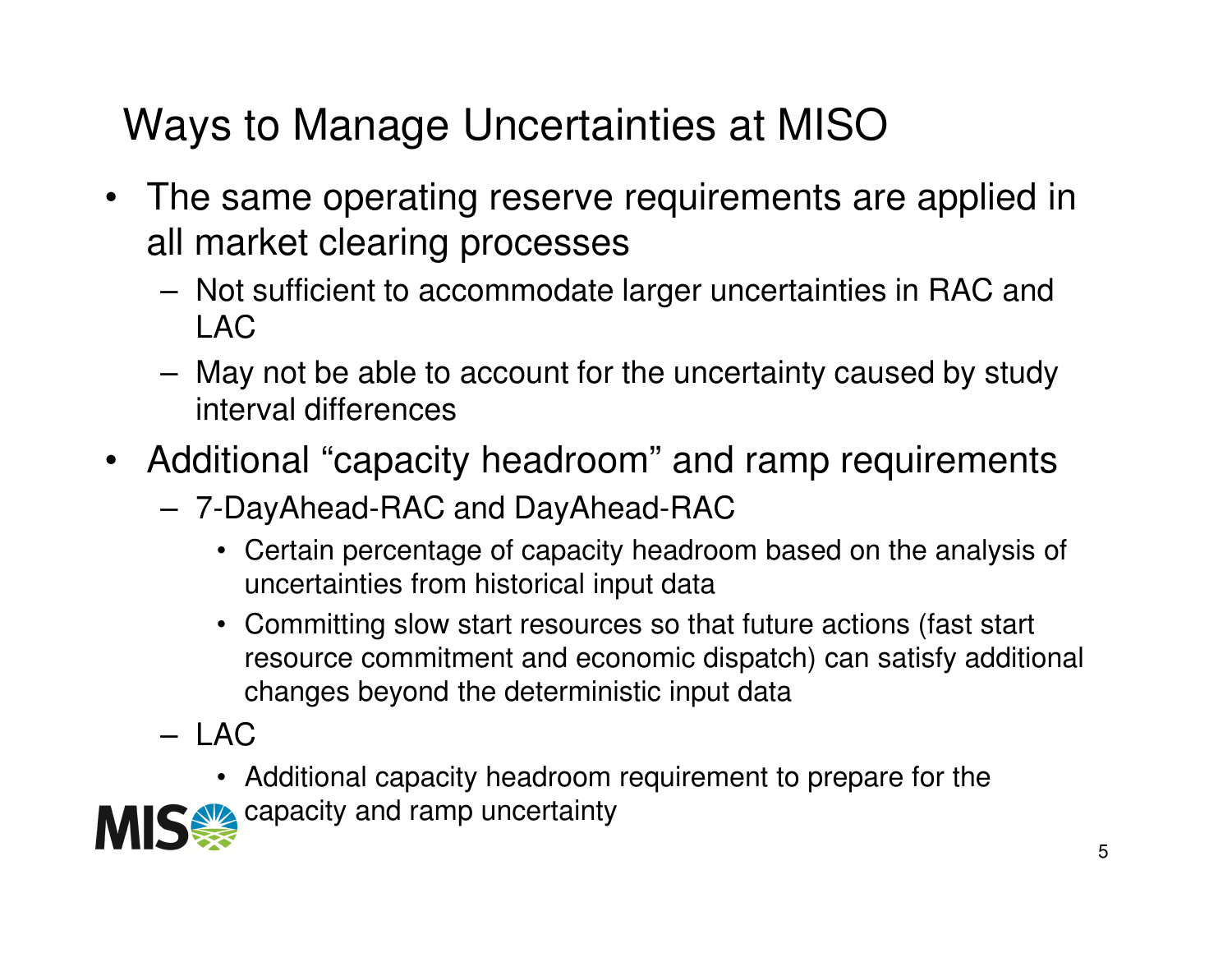# Ways to Manage Uncertainties at MISO

- The same operating reserve requirements are applied inall market clearing processes
	- **Links of the Company**  Not sufficient to accommodate larger uncertainties in RAC and LAC
	- – May not be able to account for the uncertainty caused by study interval differences
- Additional "capacity headroom" and ramp requirements
	- –7-DayAhead-RAC and DayAhead-RAC

capacity and ramp uncertainty

- Certain percentage of capacity headroom based on the analysis of uncertainties from historical input data
- Committing slow start resources so that future actions (fast start resource commitment and economic dispatch) can satisfy additional changes beyond the deterministic input data
- – LAC
	- Additional capacity headroom requirement to prepare for the

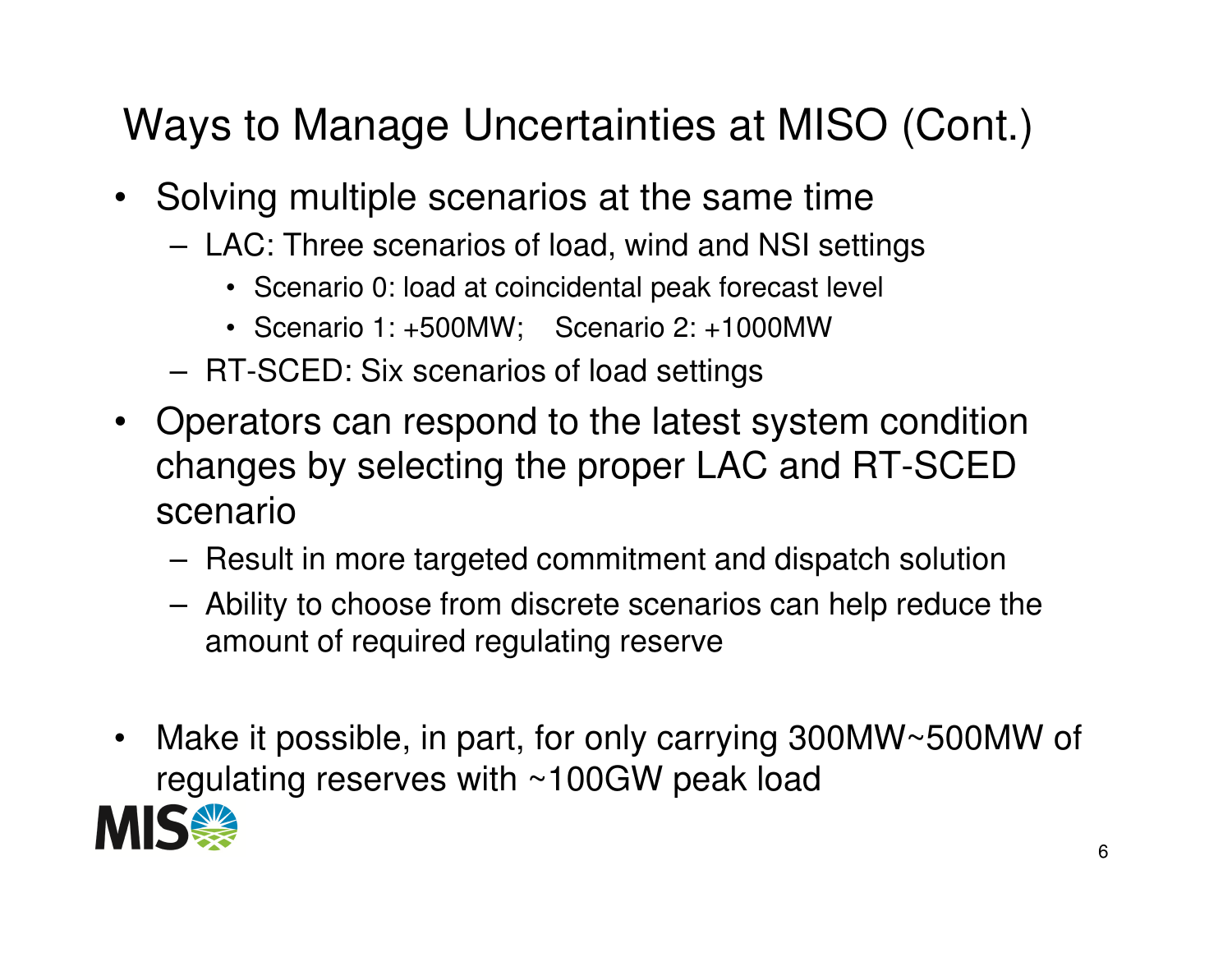# Ways to Manage Uncertainties at MISO (Cont.)

- Solving multiple scenarios at the same time
	- **Links of the Company**  LAC: Three scenarios of load, wind and NSI settings
		- Scenario 0: load at coincidental peak forecast level
		- Scenario 1: +500MW; Scenario 2: +1000MW
	- **Links of the Company** RT-SCED: Six scenarios of load settings
- Operators can respond to the latest system condition changes by selecting the proper LAC and RT-SCED scenario
	- –Result in more targeted commitment and dispatch solution
	- – Ability to choose from discrete scenarios can help reduce the amount of required regulating reserve
- • Make it possible, in part, for only carrying 300MW~500MW of regulating reserves with ~100GW peak load

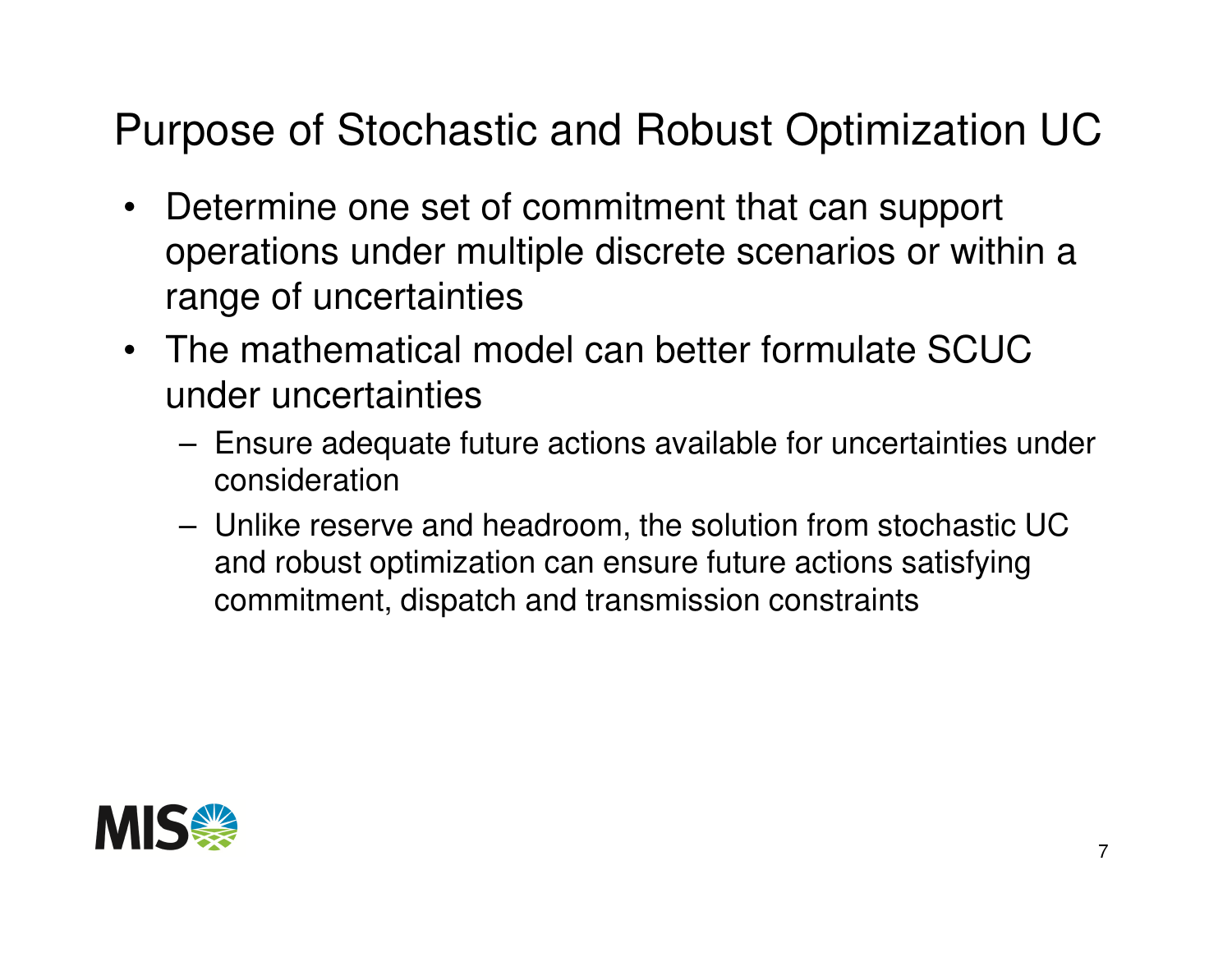#### Purpose of Stochastic and Robust Optimization UC

- $\bullet$  Determine one set of commitment that can support operations under multiple discrete scenarios or within a range of uncertainties
- The mathematical model can better formulate SCUC under uncertainties
	- – Ensure adequate future actions available for uncertainties under consideration
	- – Unlike reserve and headroom, the solution from stochastic UC and robust optimization can ensure future actions satisfying commitment, dispatch and transmission constraints

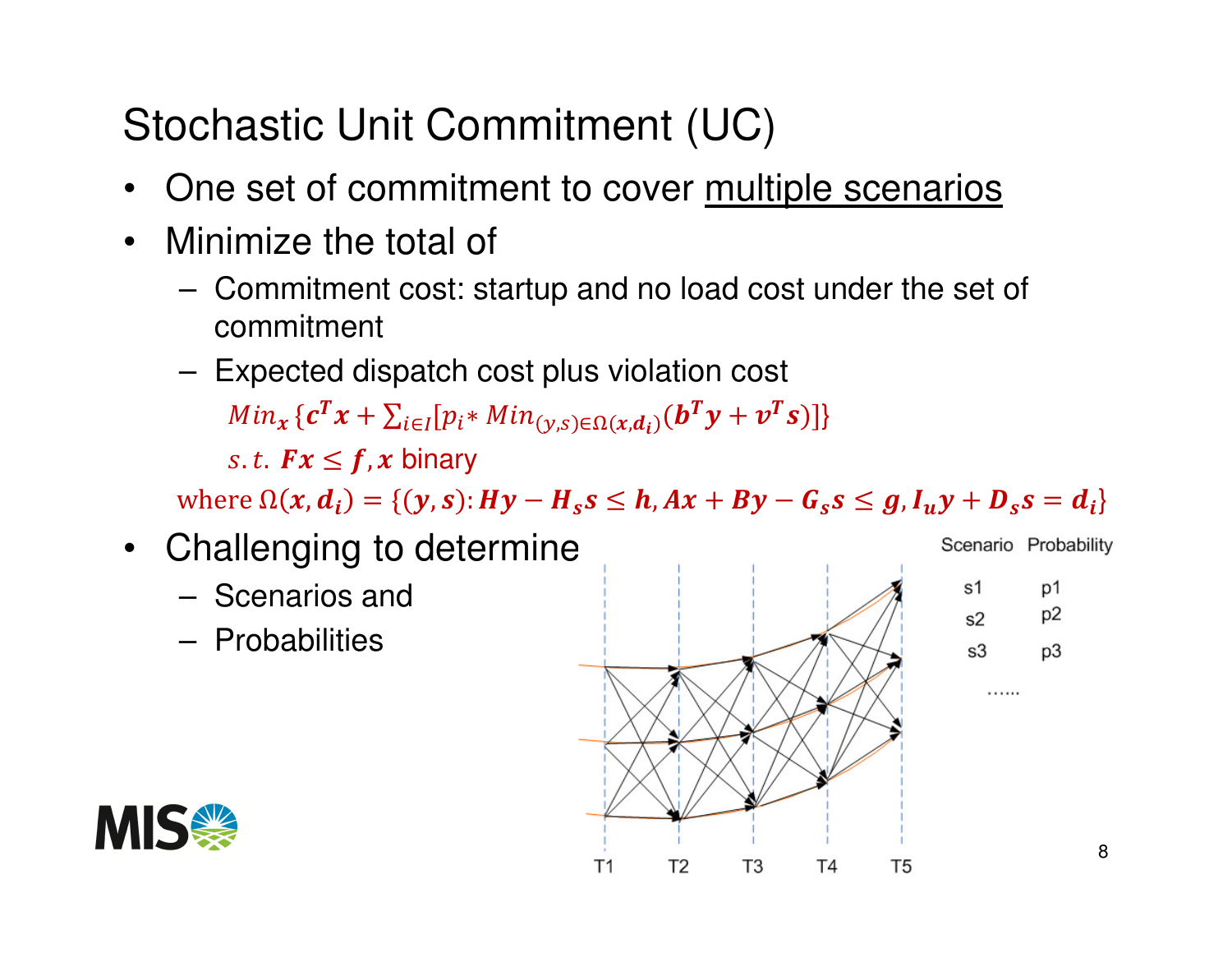# Stochastic Unit Commitment (UC)

- $\bullet$ One set of commitment to cover multiple scenarios
- $\bullet$  Minimize the total of
	- – Commitment cost: startup and no load cost under the set of commitment
	- –Expected dispatch cost plus violation cost

 $Min_{\mathbf{x}}\{\boldsymbol{c}^{\boldsymbol{T}}\mathbf{x}+\sum_{i\in I}[p_{i} \ast Min_{(\mathbf{y}, s)\in \Omega(\mathbf{x}, \boldsymbol{d}_{i})}(\boldsymbol{b}^{\boldsymbol{T}}\mathbf{y}+\boldsymbol{\nu}^{\boldsymbol{T}}$  $\sum_{i\in I}[p_i*Min_{(\gamma,s)\in\Omega(x,d_i)}(\boldsymbol{b}^T\boldsymbol{y}+\boldsymbol{v}^T\boldsymbol{s})]\}$ s. t.  $Fx \leq f$ , x binary

where  $\Omega(x, d_i) = \{ (y, s) : Hy - H_s s \le h, Ax + By - G_s s \le g, I_u y + D_s s = d_i \}$ 

- Challenging to determine
	- –Scenarios and
	- –**Probabilities**



Scenario Probability

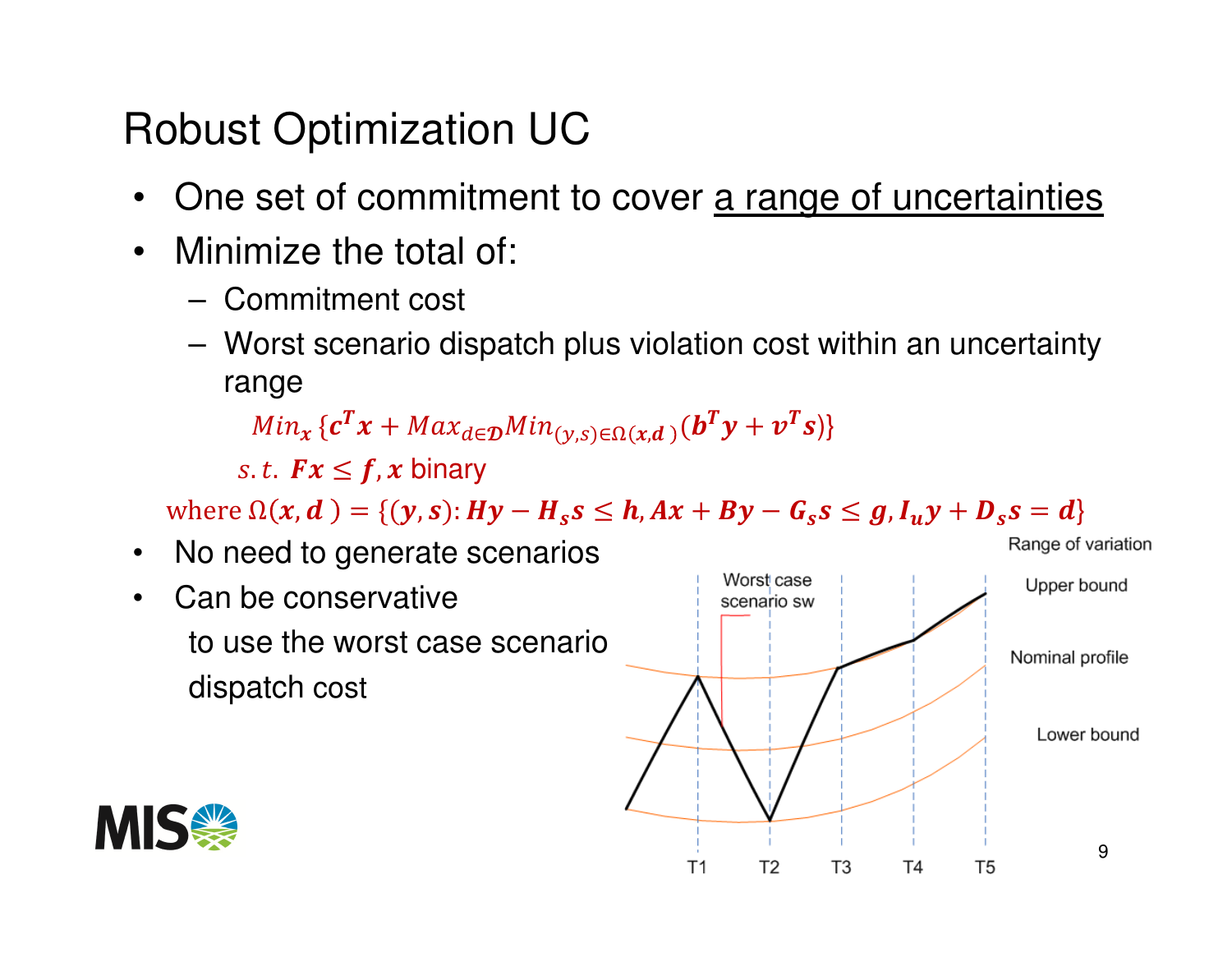Robust Optimization UC

- •One set of commitment to cover a range of uncertainties
- $\bullet$  Minimize the total of:
	- **Links of the Company** Commitment cost
	- **Links of the Company**  Worst scenario dispatch plus violation cost within an uncertainty range

 $Min_{x} \{c^T x + Max_{d \in \mathcal{D}} Min_{(y,s) \in \Omega(x,d)}(b^T y + v^T$  $^{T}s$ )}

s.t.  $Fx \leq f$ , x binary

where  $\Omega(x, d) = \{ (y, s) : Hy - H_s s \le h, Ax + By - G_s s \le g, I_u y + D_s s = d \}$ 

- No need to generate scenarios•
- • Can be conservative to use the worst case scenario dispatch cost



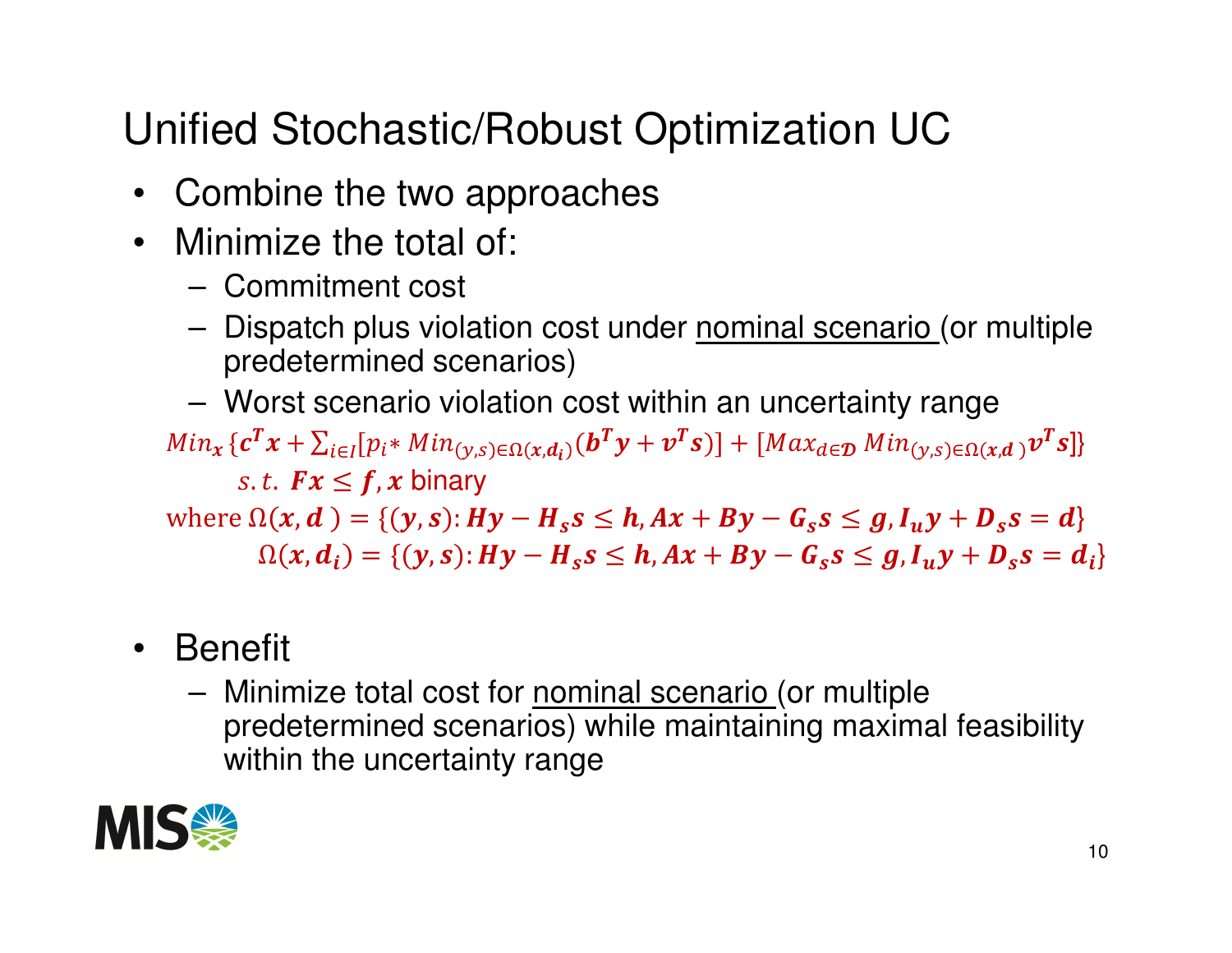# Unified Stochastic/Robust Optimization UC

- •Combine the two approaches
- $\bullet$  Minimize the total of:
	- –Commitment cost
	- **Links of the Company** Dispatch plus violation cost under **nominal scenario** (or multiple predetermined scenarios)
	- **Links of the Company** Worst scenario violation cost within an uncertainty range

 $Min_{x}\{\boldsymbol{c}^T x+\sum_{i\in I} [p_i*Min_{(y,s)\in\Omega(x,d_i)}(\boldsymbol{b}^T y+\boldsymbol{\nu}^T \boldsymbol{s})]+ [Max_{d\in\mathcal{D}}Min_{(y,s)\in\Omega(x,d_i)}]$ *s.t.*  $Fx \leq f$ ,  $x$  binary  $\max_{i \in I} [p_i * Min_{(y,s) \in \Omega(x,d_i)}(\boldsymbol{b}^T \boldsymbol{y} + \boldsymbol{v}^T \boldsymbol{s})] + [Max_{d \in \mathcal{D}} Min_{(y,s) \in \Omega(x,d)} \boldsymbol{v}^T]$  $^{T}s]\}$ where  $\Omega(x, d) = \{ (y, s) : Hy - H_s s \le h, Ax + By - G_s s \le g, I_u y + D_s s = d \}$  $\Omega(x, d_i) = \{ (y, s) : Hy - H_s s \le h, Ax + By - G_s s \le g, I_u y + D_s s = d_i \}$ 

- $\bullet$  Benefit
	- **Links of the Company** Minimize total cost for nominal scenario (or multiple predetermined scenarios) while maintaining maximal feasibility within the uncertainty range

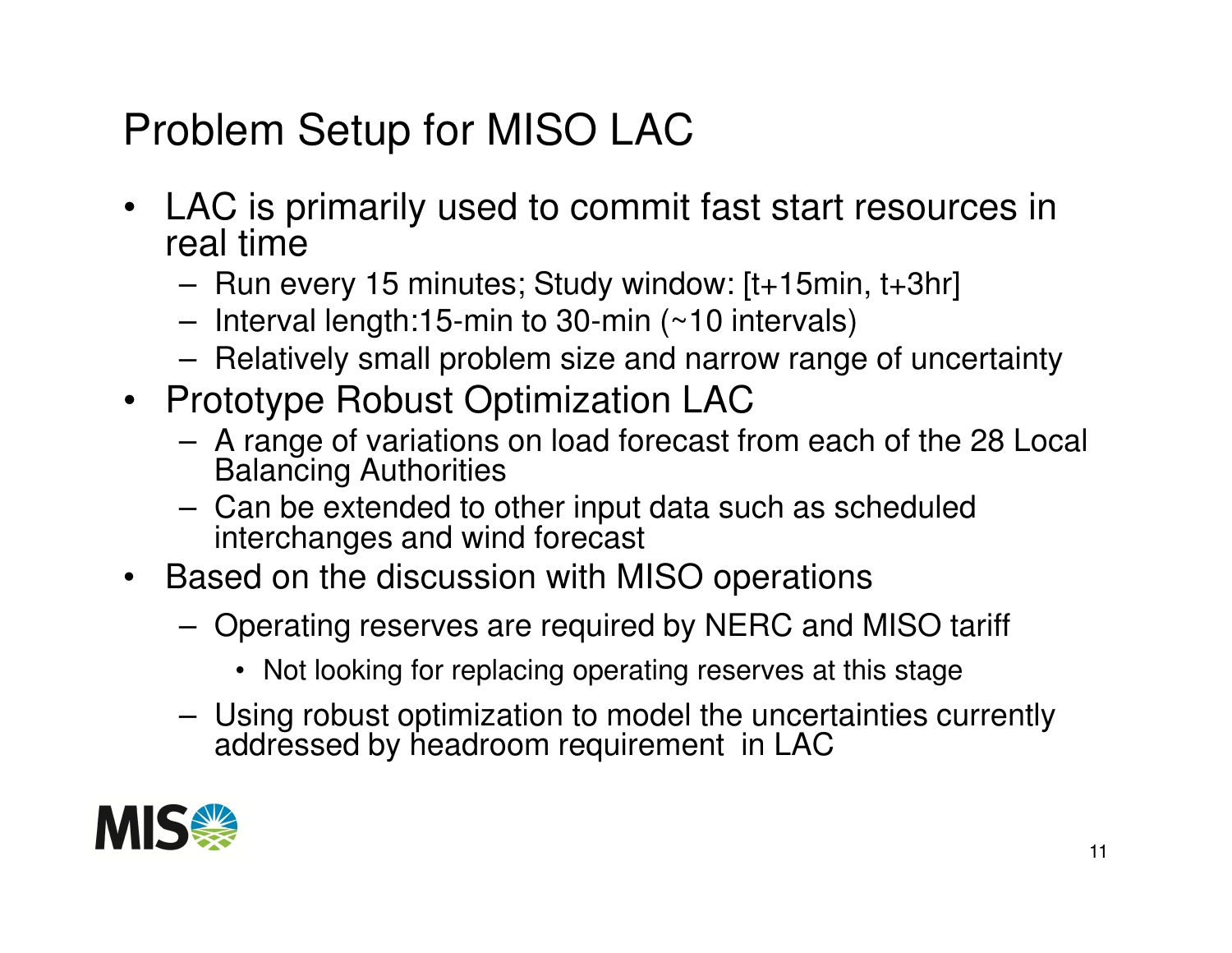## Problem Setup for MISO LAC

- $\bullet$  LAC is primarily used to commit fast start resources in real time
	- Run 4 Run every 15 minutes; Study window: [t+15min, t+3hr]
	- –Interval length:15-min to 30-min (~10 intervals)
	- –Relatively small problem size and narrow range of uncertainty
- Prototype Robust Optimization LAC
	- А ГЭШР Ш УЭНЭШЛА ЛШ ШЭН ШӨГЭАГ A range of variations on load forecast from each of the 28 Local Balancing Authorities
	- $\Box$  Can he evtended to  $\Box$  Can be extended to other input data such as scheduled interchanges and wind forecast
- Based on the discussion with MISO operations
	- **Links of the Company**  Operating reserves are required by NERC and MISO tariff
		- Not looking for replacing operating reserves at this stage
	- – Using robust optimization to model the uncertainties currently addressed by headroom requirement in LAC

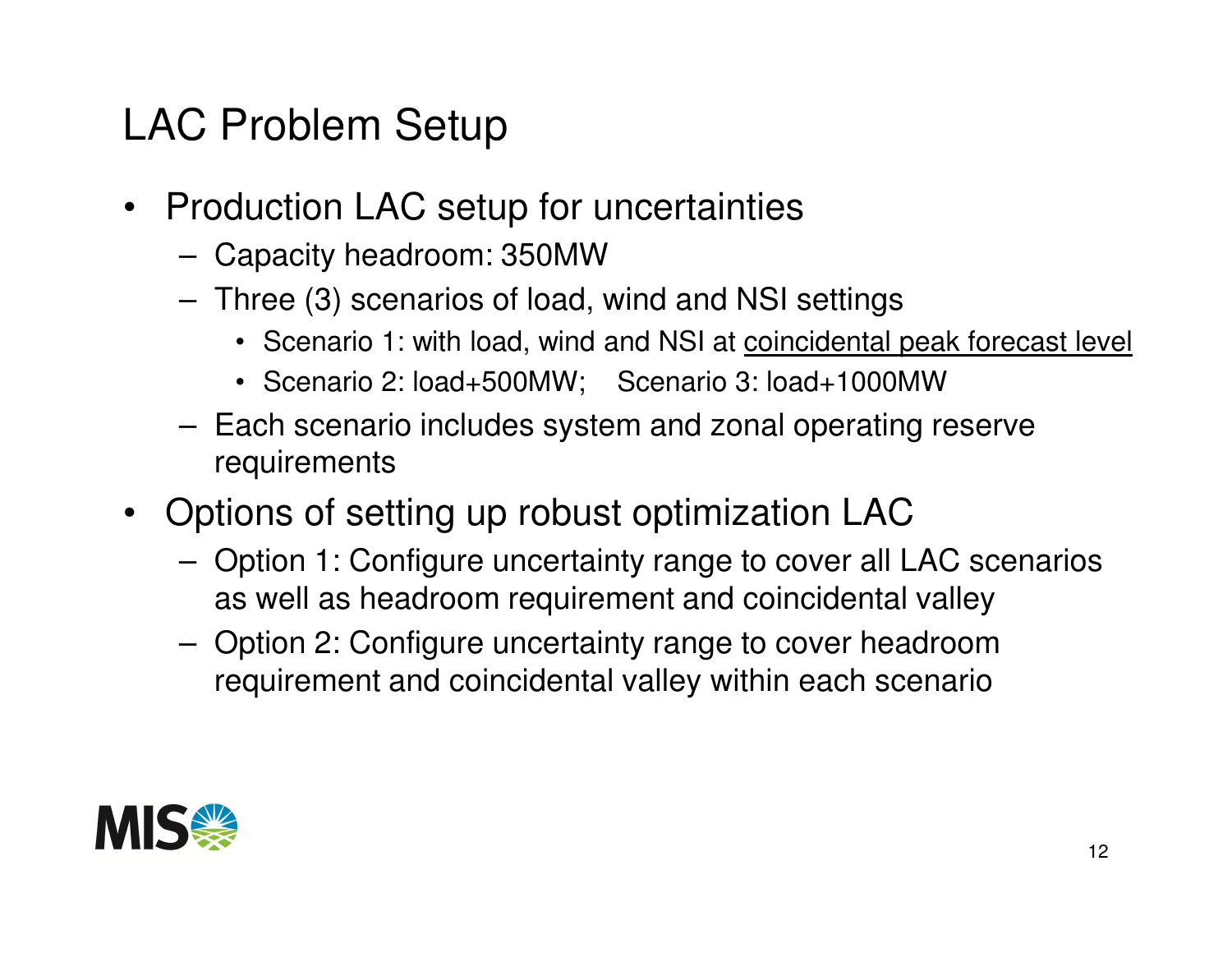#### LAC Problem Setup

- Production LAC setup for uncertainties
	- **Links of the Company** Capacity headroom: 350MW
	- $-$  Three F3) scenarios of Ioac Three (3) scenarios of load, wind and NSI settings
		- Scenario 1: with load, wind and NSI at coincidental peak forecast level
		- Scenario 2: load+500MW; Scenario 3: load+1000MW
	- $-$  Fach sconario includes system and zonal operating Each scenario includes system and zonal operating reserve requirements
- Options of setting up robust optimization LAC
	- $\blacksquare$  ( )ntion 1: ( )ontiquire uncertainty range to cover all Option 1: Configure uncertainty range to cover all LAC scenarios as well as headroom requirement and coincidental valley
	- – Option 2: Configure uncertainty range to cover headroom requirement and coincidental valley within each scenario

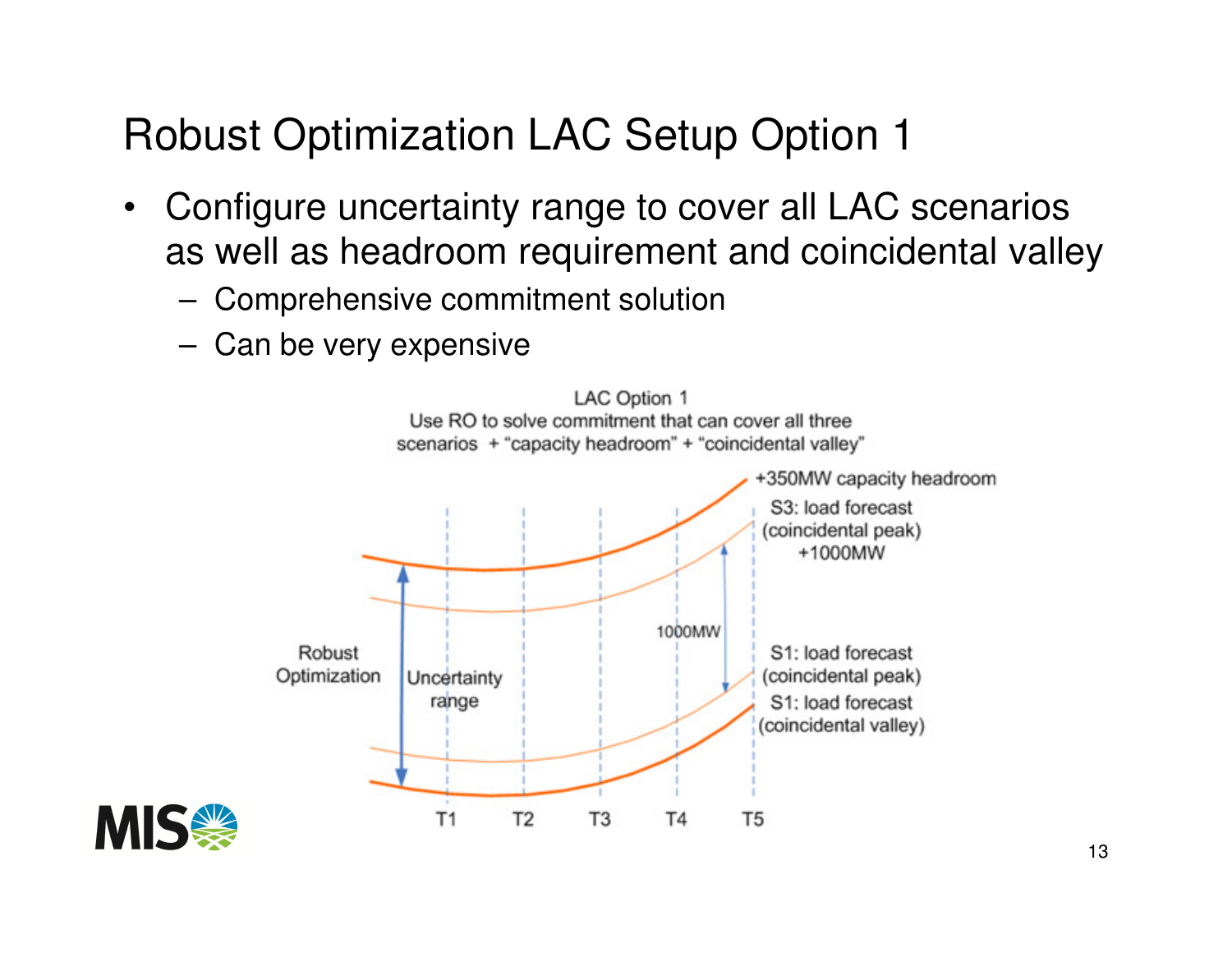## Robust Optimization LAC Setup Option 1

- • Configure uncertainty range to cover all LAC scenarios as well as headroom requirement and coincidental valley
	- **Links of the Company** Comprehensive commitment solution
	- –Can be very expensive



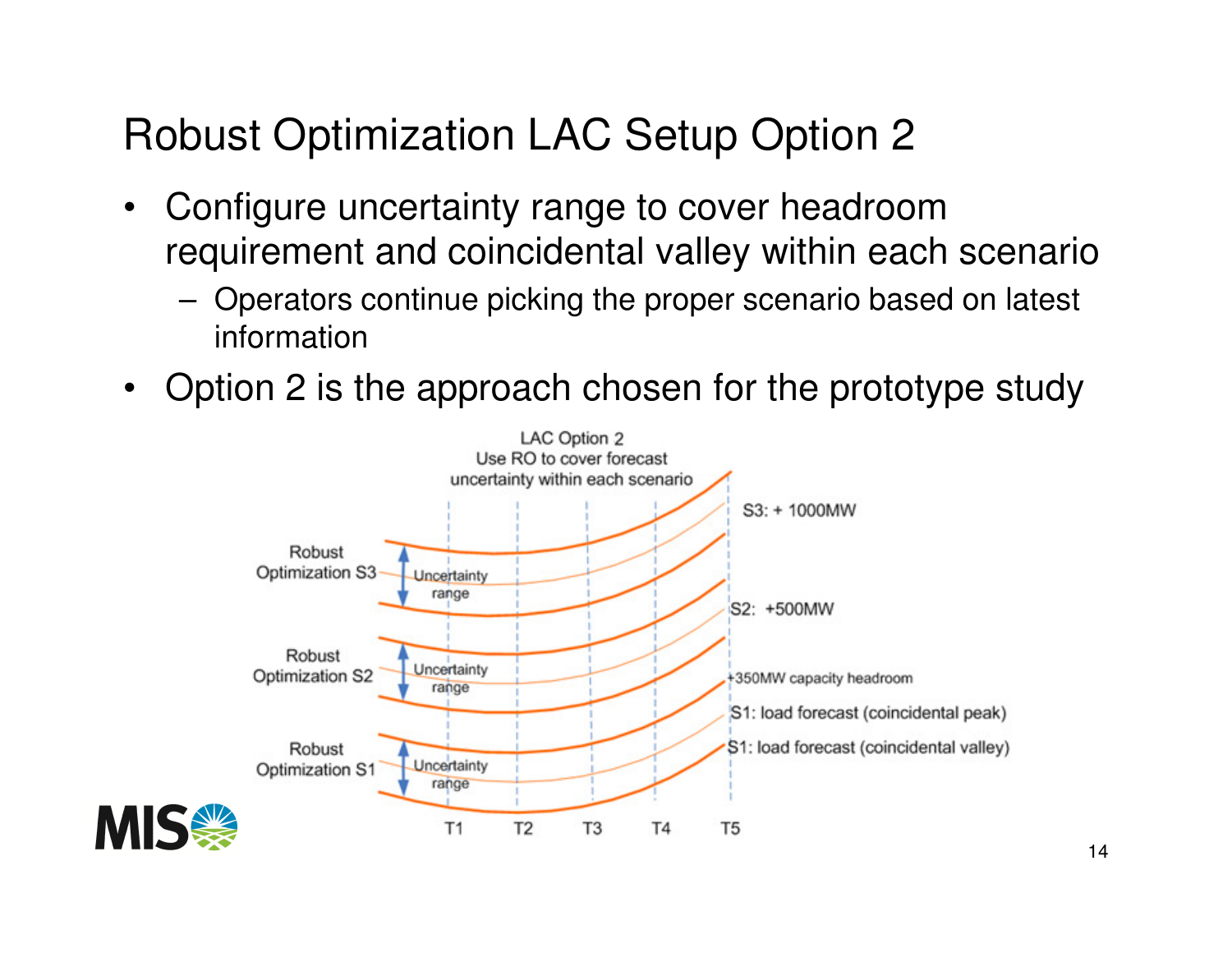# Robust Optimization LAC Setup Option 2

- • Configure uncertainty range to cover headroom requirement and coincidental valley within each scenario
	- **Links of the Company**  Operators continue picking the proper scenario based on latest information
- •Option 2 is the approach chosen for the prototype study

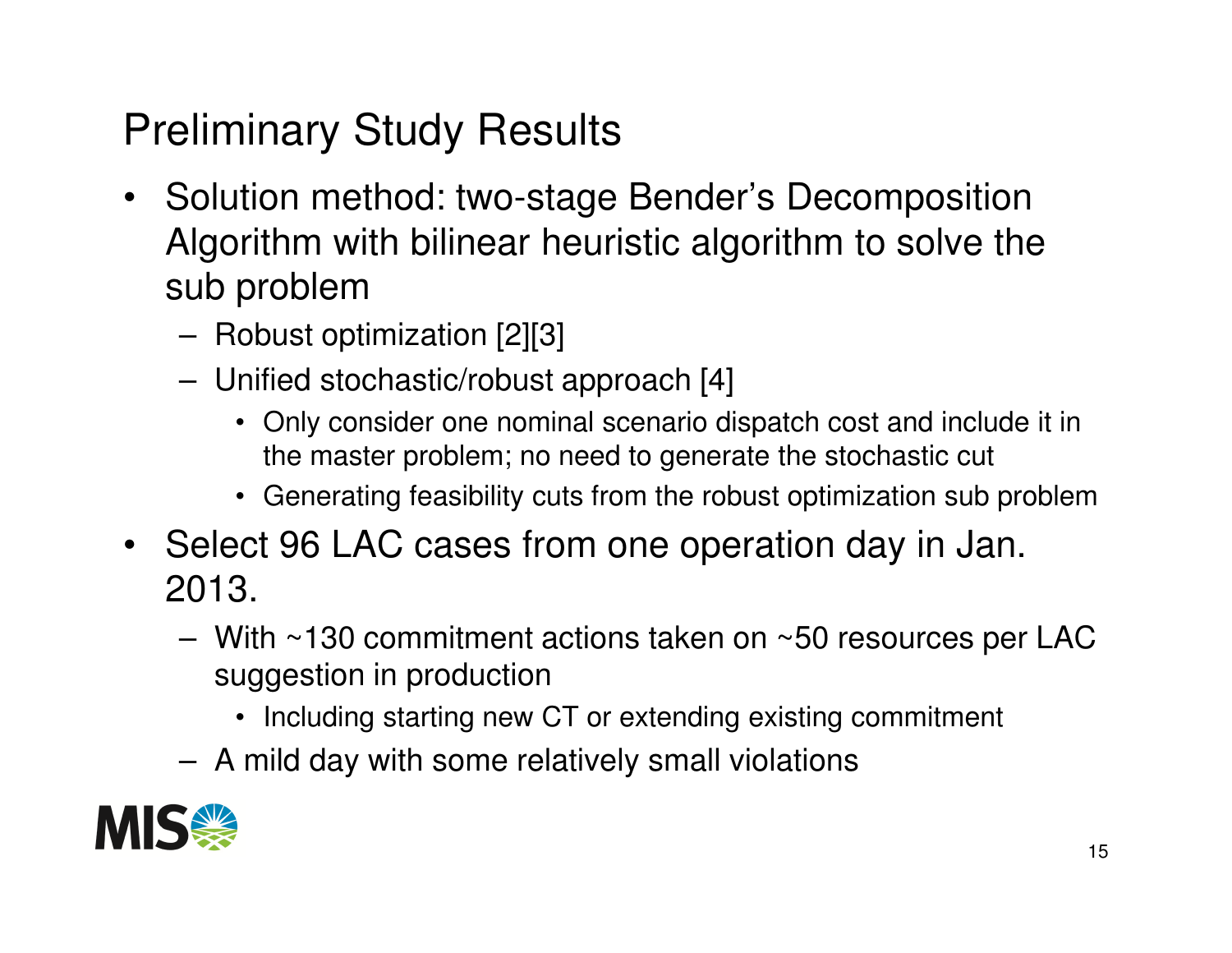## Preliminary Study Results

- Solution method: two-stage Bender's Decomposition Algorithm with bilinear heuristic algorithm to solve the sub problem
	- –Robust optimization [2][3]
	- – Unified stochastic/robust approach [4]
		- Only consider one nominal scenario dispatch cost and include it in the master problem; no need to generate the stochastic cut
		- Generating feasibility cuts from the robust optimization sub problem
- Select 96 LAC cases from one operation day in Jan. 2013.
	- **Links of the Company** With ~130 commitment actions taken on ~50 resources per LAC suggestion in production
		- Including starting new CT or extending existing commitment
	- **Links of the Company** A mild day with some relatively small violations

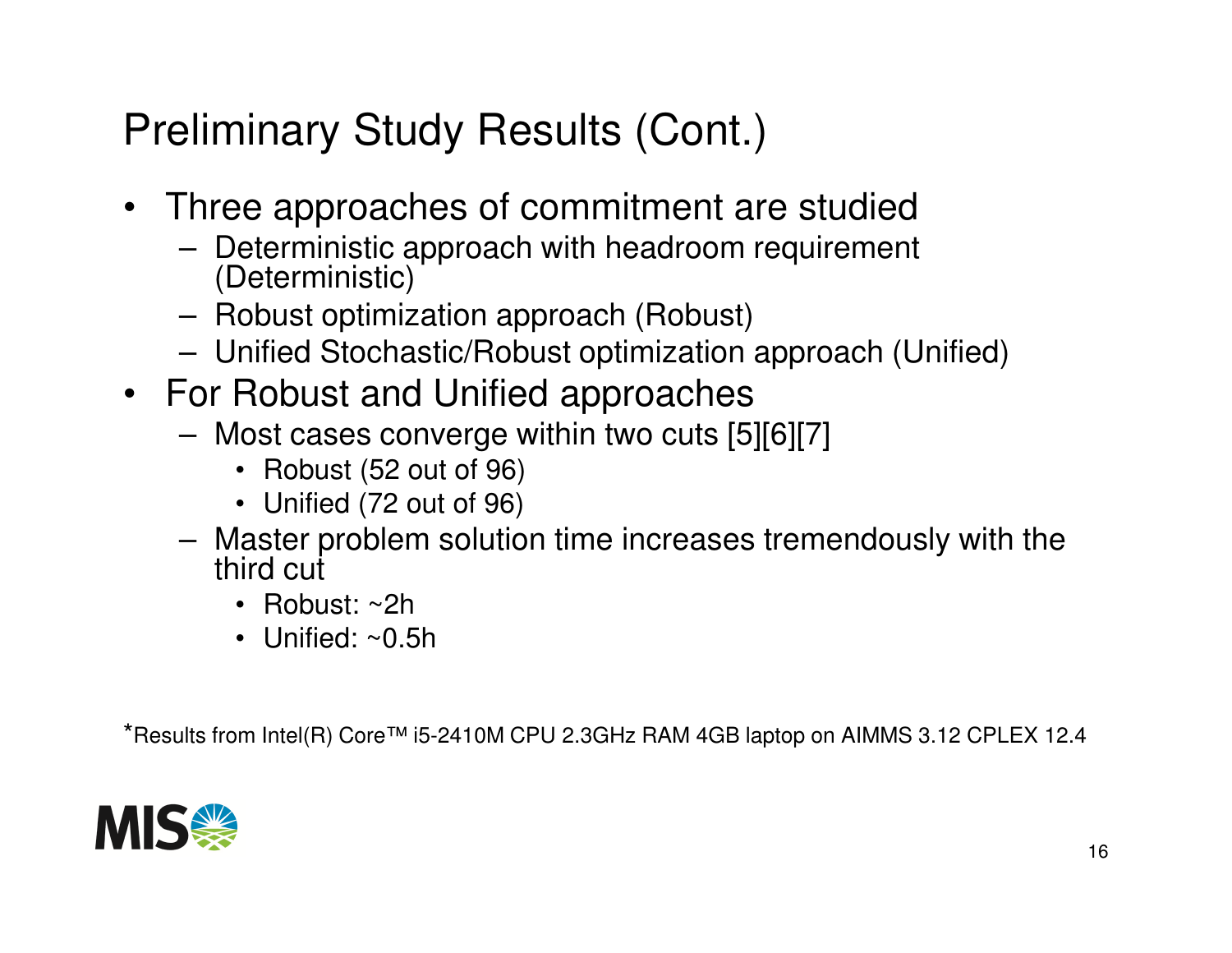## Preliminary Study Results (Cont.)

- Three approaches of commitment are studied
	- $-$  Deterministic annroach with headroom requirement Deterministic approach with headroom requirement (Deterministic)
	- **Links of the Company** Robust optimization approach (Robust)
	- **Links of the Company** Unified Stochastic/Robust optimization approach (Unified)
- For Robust and Unified approaches
	- $-$  Most cases converge within two quts L  $\,$  Most cases converge within two cuts [5][6][7]
		- Robust (52 out of 96)
		- Unified (72 out of 96)
	- **Links of the Company**  Master problem solution time increases tremendously with the third cut
		- Robust: ~2h
		- Unified: ~0.5h

\*Results from Intel(R) Core™ i5-2410M CPU 2.3GHz RAM 4GB laptop on AIMMS 3.12 CPLEX 12.4

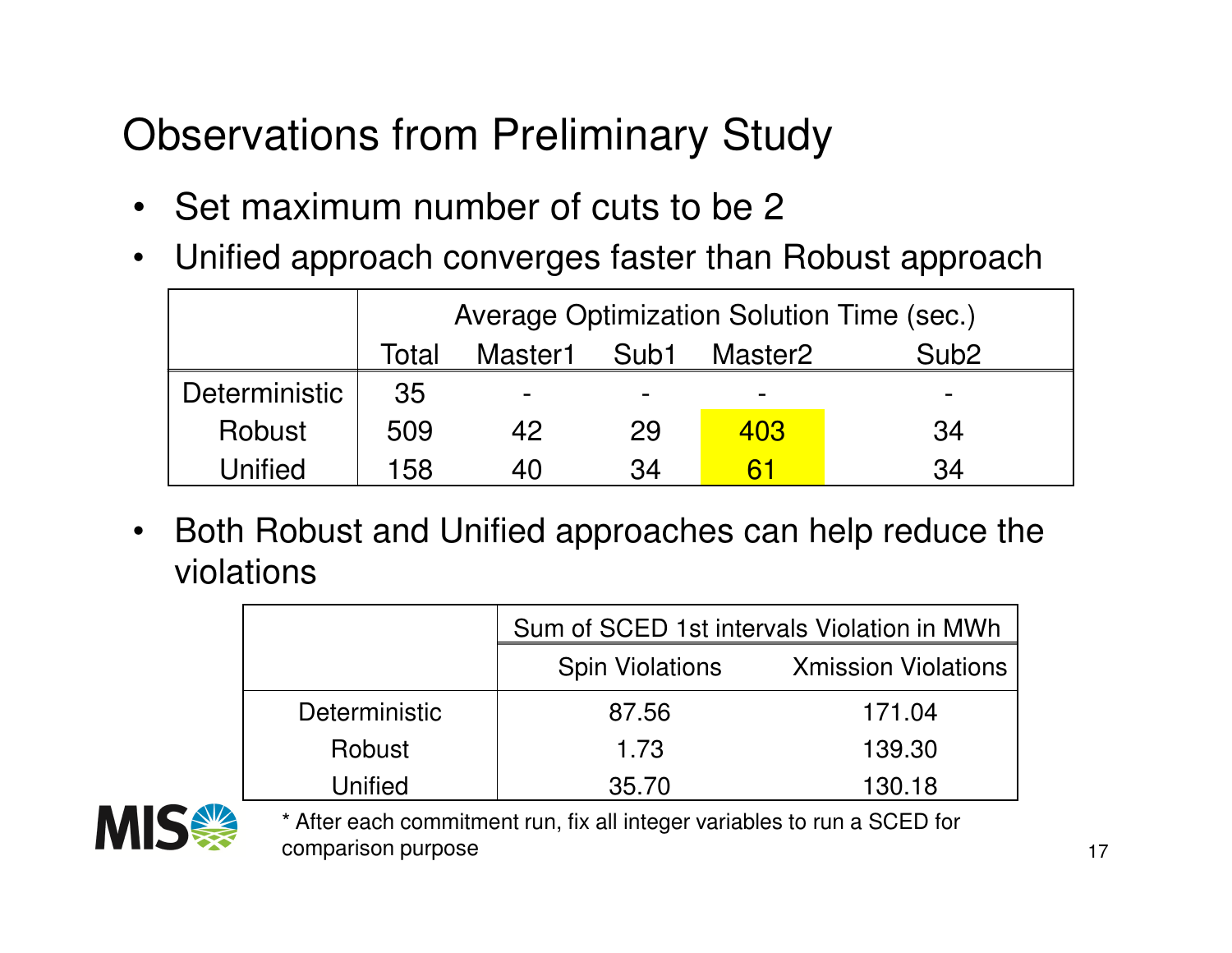## Observations from Preliminary Study

- Set maximum number of cuts to be 2
- •Unified approach converges faster than Robust approach

|               | Average Optimization Solution Time (sec.) |         |      |         |                  |  |
|---------------|-------------------------------------------|---------|------|---------|------------------|--|
|               | Total                                     | Master1 | Sub1 | Master2 | Sub <sub>2</sub> |  |
| Deterministic | 35                                        | -       | -    |         | -                |  |
| Robust        | 509                                       | 42      | 29   | 403     | 34               |  |
| Unified       | 158                                       | 40      | 34   |         | 34               |  |

 $\bullet$  Both Robust and Unified approaches can help reduce the violations

|                      | Sum of SCED 1st intervals Violation in MWh |                            |  |
|----------------------|--------------------------------------------|----------------------------|--|
|                      | <b>Spin Violations</b>                     | <b>Xmission Violations</b> |  |
| <b>Deterministic</b> | 87.56                                      | 171.04                     |  |
| Robust               | 1.73                                       | 139.30                     |  |
| Unified              | 35.70                                      | 130.18                     |  |



\* After each commitment run, fix all integer variables to run a SCED for comparison purpose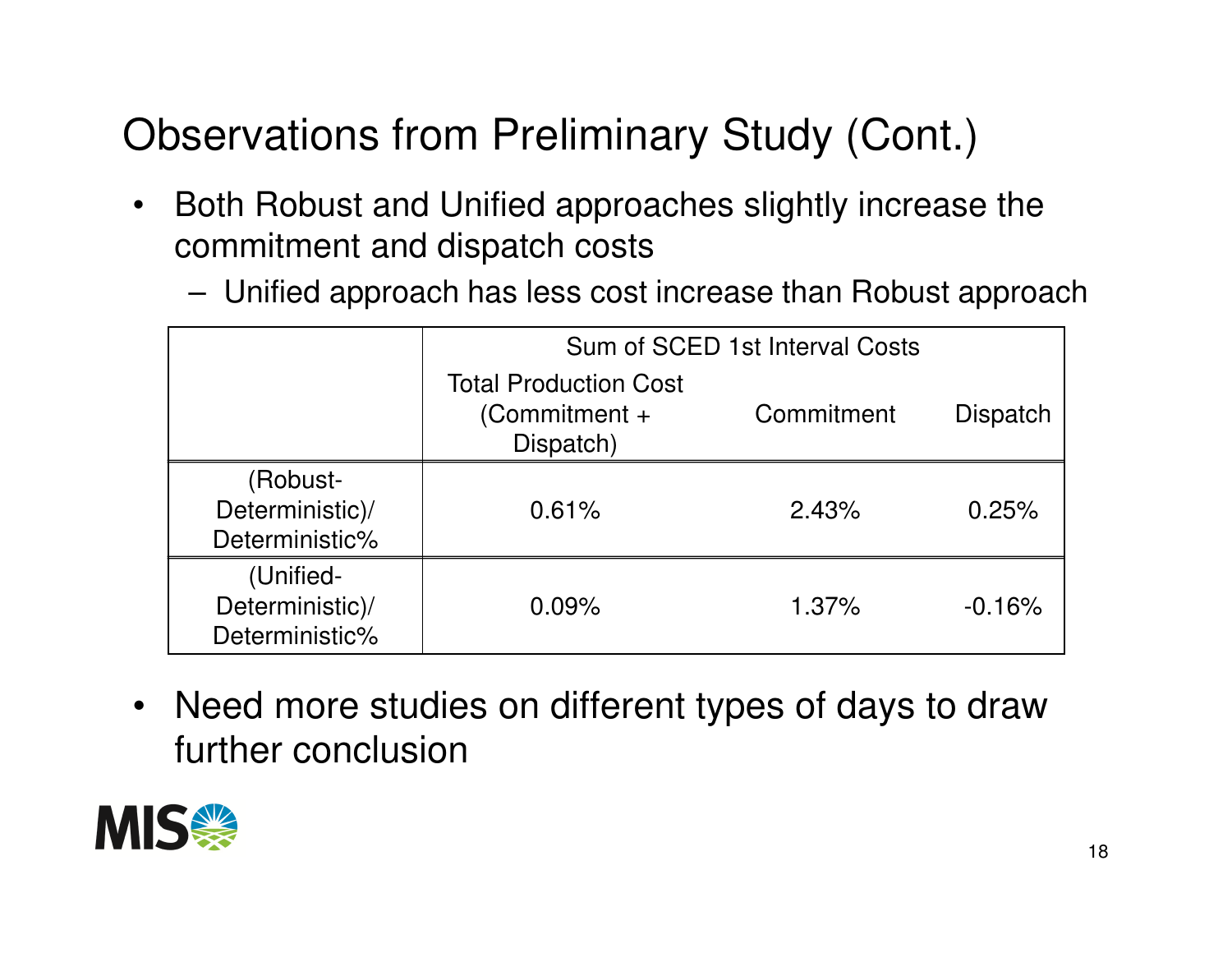# Observations from Preliminary Study (Cont.)

- $\bullet$  Both Robust and Unified approaches slightly increase the commitment and dispatch costs
	- **Links of the Company** Unified approach has less cost increase than Robust approach

|                                                | Sum of SCED 1st Interval Costs                            |            |                 |  |
|------------------------------------------------|-----------------------------------------------------------|------------|-----------------|--|
|                                                | <b>Total Production Cost</b><br>$(Comment +$<br>Dispatch) | Commitment | <b>Dispatch</b> |  |
| (Robust-<br>Deterministic)/<br>Deterministic%  | 0.61%                                                     | 2.43%      | 0.25%           |  |
| (Unified-<br>Deterministic)/<br>Deterministic% | 0.09%                                                     | 1.37%      | $-0.16%$        |  |

 $\bullet$  Need more studies on different types of days to draw further conclusion

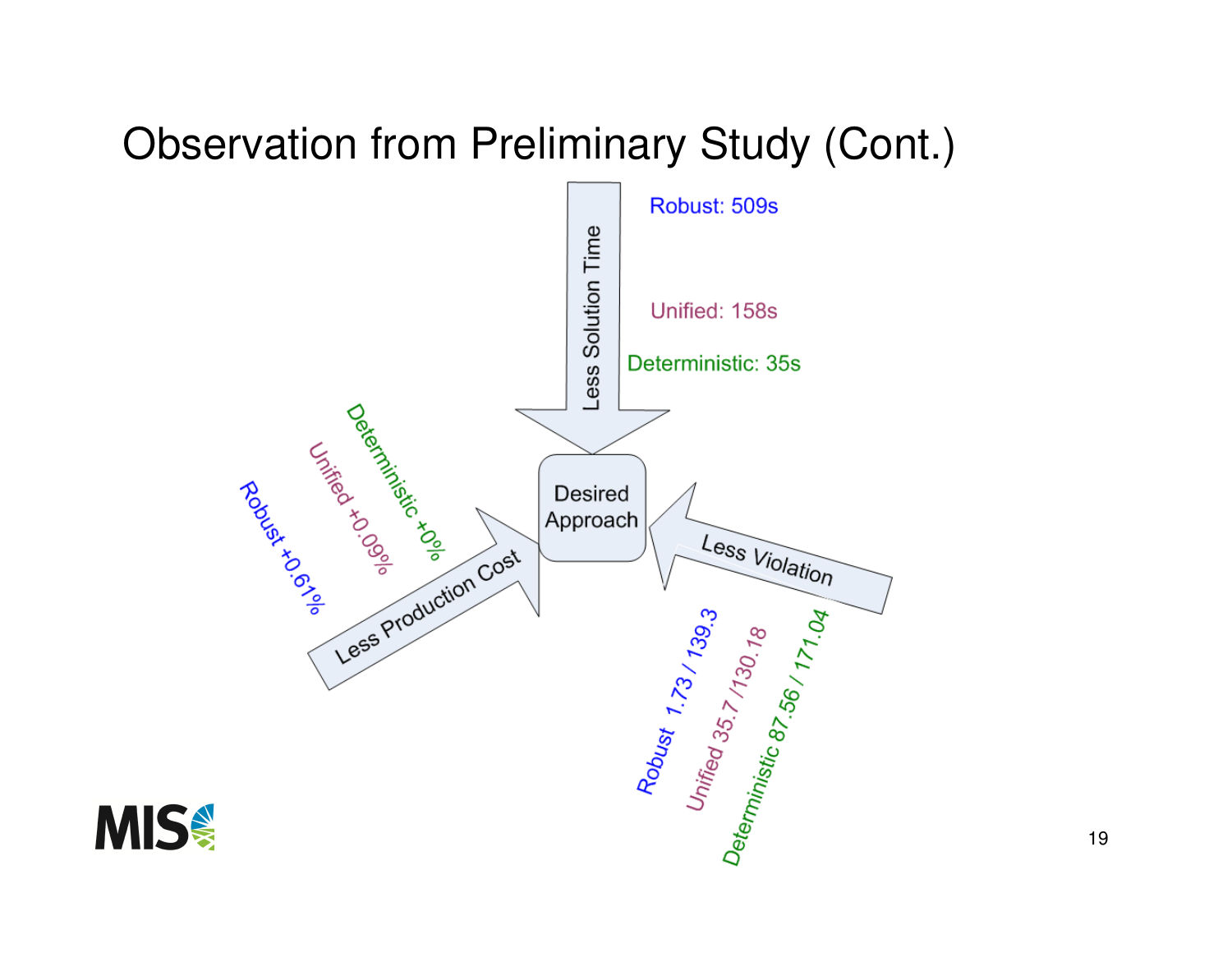#### Observation from Preliminary Study (Cont.)



19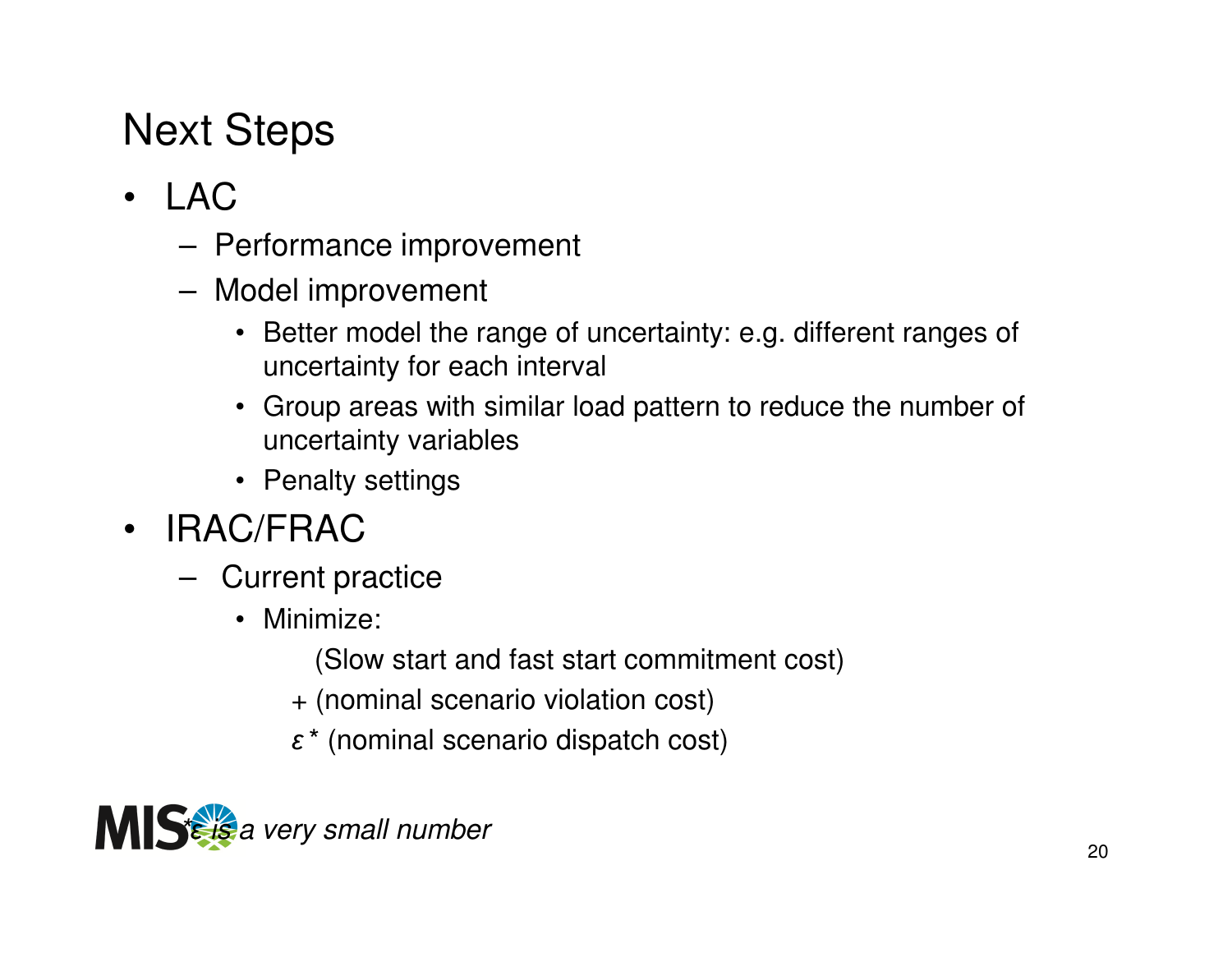# Next Steps

- LAC
	- –Performance improvement
	- **Links of the Company**  Model improvement
		- Better model the range of uncertainty: e.g. different ranges of uncertainty for each interval
		- Group areas with similar load pattern to reduce the number of uncertainty variables
		- Penalty settings
- IRAC/FRAC
	- $-$  (lurront r Current practice
		- Minimize:
			- (Slow start and fast start commitment cost)
			- + (nominal scenario violation cost)
			- $\bm{\varepsilon}^*$  (nominal scenario dispatch cost)

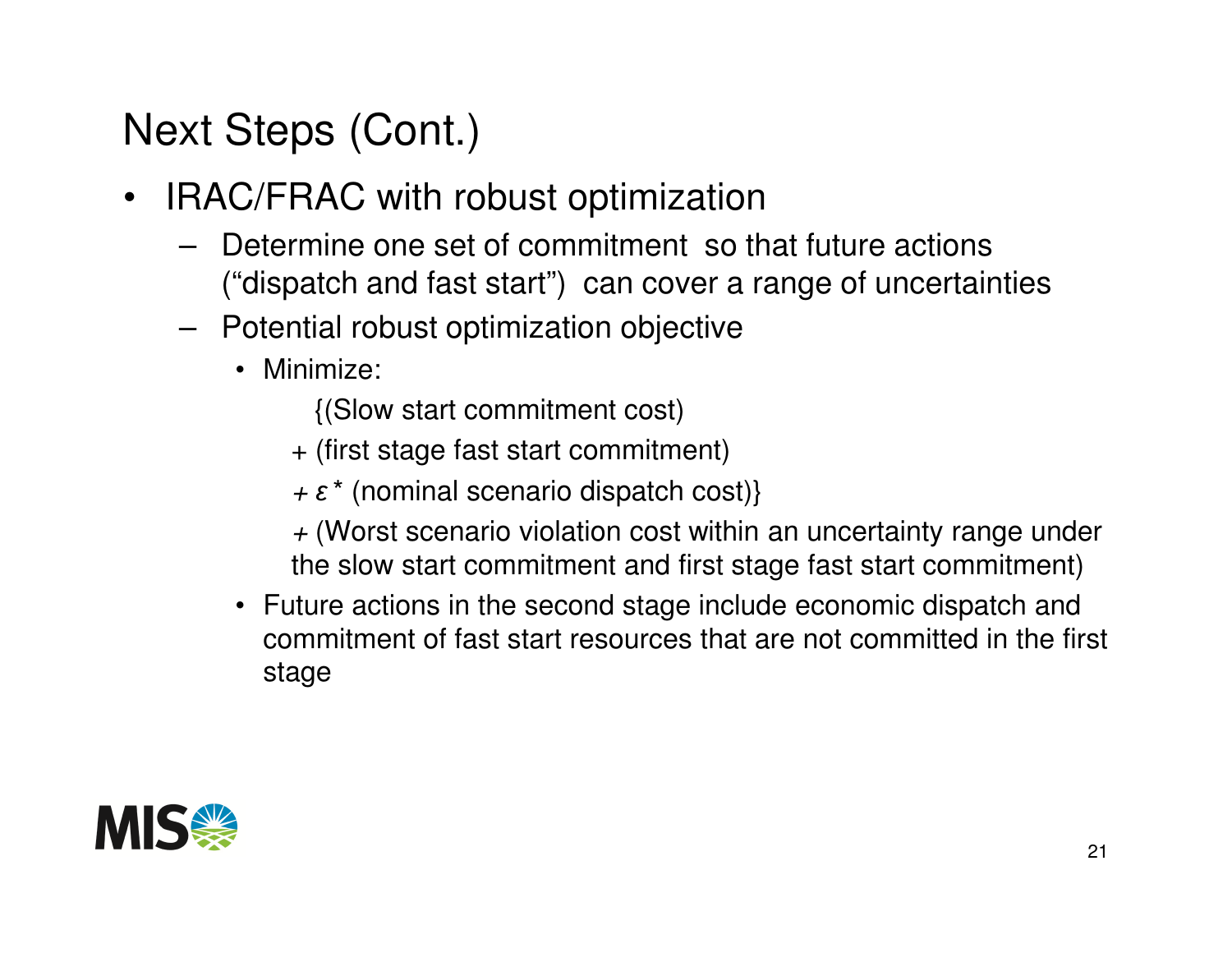# Next Steps (Cont.)

- IRAC/FRAC with robust optimization
	- **Links of the Company**  Determine one set of commitment so that future actions ("dispatch and fast start") can cover a range of uncertainties
	- **Links of the Company**  Potential robust optimization objective
		- Minimize:
			- {(Slow start commitment cost)
			- + (first stage fast start commitment)
			- $+ \varepsilon^*$  (nominal scenario dispatch cost)}
			- $+$  (Worst scenario violation cost within an uncertainty range under the slow start commitment and first stage fast start commitment)
		- Future actions in the second stage include economic dispatch and commitment of fast start resources that are not committed in the first stage